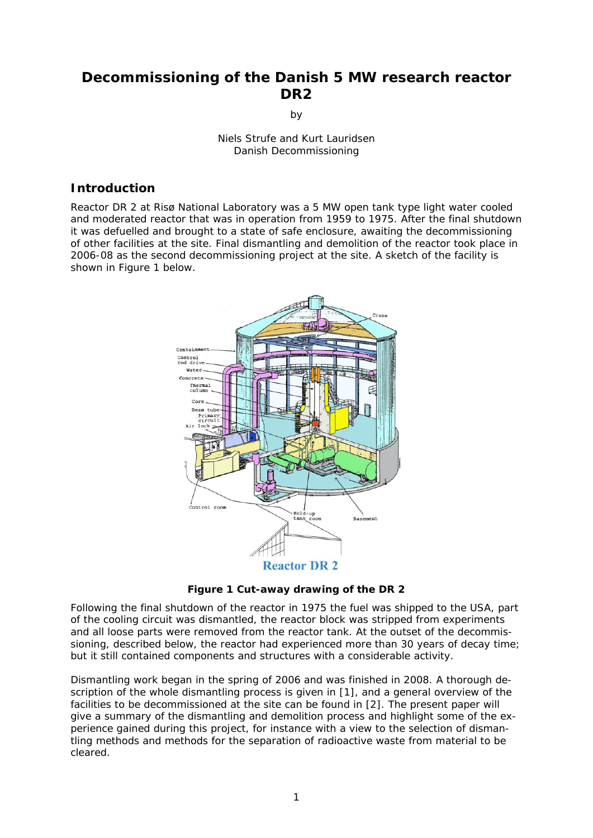# **Decommissioning of the Danish 5 MW research reactor DR2**

by

Niels Strufe and Kurt Lauridsen Danish Decommissioning

#### **Introduction**

Reactor DR 2 at Risø National Laboratory was a 5 MW open tank type light water cooled and moderated reactor that was in operation from 1959 to 1975. After the final shutdown it was defuelled and brought to a state of safe enclosure, awaiting the decommissioning of other facilities at the site. Final dismantling and demolition of the reactor took place in 2006-08 as the second decommissioning project at the site. A sketch of the facility is shown in [Figure 1](#page-0-0) below.



**Figure 1 Cut-away drawing of the DR 2** 

<span id="page-0-0"></span>Following the final shutdown of the reactor in 1975 the fuel was shipped to the USA, part of the cooling circuit was dismantled, the reactor block was stripped from experiments and all loose parts were removed from the reactor tank. At the outset of the decommissioning, described below, the reactor had experienced more than 30 years of decay time; but it still contained components and structures with a considerable activity.

Dismantling work began in the spring of 2006 and was finished in 2008. A thorough description of the whole dismantling process is given in [\[1\]](#page-7-0), and a general overview of the facilities to be decommissioned at the site can be found in [[2](#page-7-1)]. The present paper will give a summary of the dismantling and demolition process and highlight some of the experience gained during this project, for instance with a view to the selection of dismantling methods and methods for the separation of radioactive waste from material to be cleared.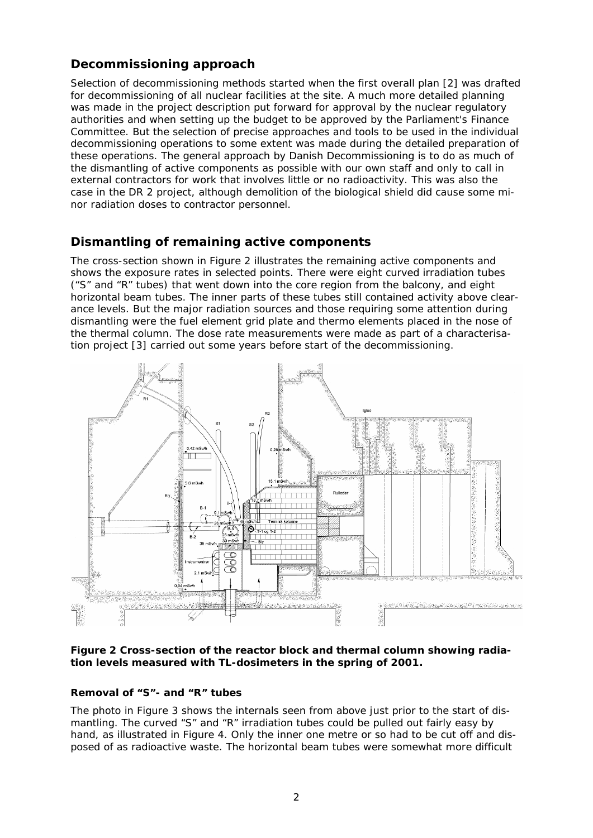## **Decommissioning approach**

Selection of decommissioning methods started when the first overall plan [\[2\]](#page-7-1) was drafted for decommissioning of all nuclear facilities at the site. A much more detailed planning was made in the project description put forward for approval by the nuclear regulatory authorities and when setting up the budget to be approved by the Parliament's Finance Committee. But the selection of precise approaches and tools to be used in the individual decommissioning operations to some extent was made during the detailed preparation of these operations. The general approach by Danish Decommissioning is to do as much of the dismantling of active components as possible with our own staff and only to call in external contractors for work that involves little or no radioactivity. This was also the case in the DR 2 project, although demolition of the biological shield did cause some minor radiation doses to contractor personnel.

## **Dismantling of remaining active components**

The cross-section shown in [Figure 2](#page-1-0) illustrates the remaining active components and shows the exposure rates in selected points. There were eight curved irradiation tubes ("S" and "R" tubes) that went down into the core region from the balcony, and eight horizontal beam tubes. The inner parts of these tubes still contained activity above clearance levels. But the major radiation sources and those requiring some attention during dismantling were the fuel element grid plate and thermo elements placed in the nose of the thermal column. The dose rate measurements were made as part of a characterisation project [[3](#page-7-2)] carried out some years before start of the decommissioning.



<span id="page-1-0"></span>**Figure 2 Cross-section of the reactor block and thermal column showing radiation levels measured with TL-dosimeters in the spring of 2001.** 

### **Removal of "S"- and "R" tubes**

The photo in [Figure 3](#page-2-0) shows the internals seen from above just prior to the start of dismantling. The curved "S" and "R" irradiation tubes could be pulled out fairly easy by hand, as illustrated in [Figure 4](#page-2-1). Only the inner one metre or so had to be cut off and disposed of as radioactive waste. The horizontal beam tubes were somewhat more difficult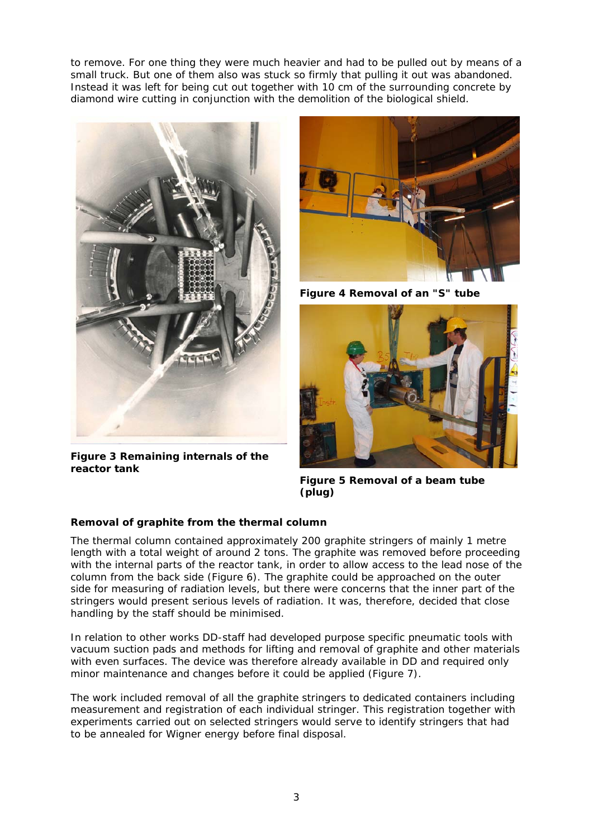to remove. For one thing they were much heavier and had to be pulled out by means of a small truck. But one of them also was stuck so firmly that pulling it out was abandoned. Instead it was left for being cut out together with 10 cm of the surrounding concrete by diamond wire cutting in conjunction with the demolition of the biological shield.

<span id="page-2-1"></span>

**Figure 3 Remaining internals of the reactor tank** 



**Figure 4 Removal of an "S" tube** 



**Figure 5 Removal of a beam tube (plug)** 

### <span id="page-2-0"></span>**Removal of graphite from the thermal column**

The thermal column contained approximately 200 graphite stringers of mainly 1 metre length with a total weight of around 2 tons. The graphite was removed before proceeding with the internal parts of the reactor tank, in order to allow access to the lead nose of the column from the back side ([Figure 6\)](#page-3-0). The graphite could be approached on the outer side for measuring of radiation levels, but there were concerns that the inner part of the stringers would present serious levels of radiation. It was, therefore, decided that close handling by the staff should be minimised.

In relation to other works DD-staff had developed purpose specific pneumatic tools with vacuum suction pads and methods for lifting and removal of graphite and other materials with even surfaces. The device was therefore already available in DD and required only minor maintenance and changes before it could be applied [\(Figure 7](#page-3-1)).

The work included removal of all the graphite stringers to dedicated containers including measurement and registration of each individual stringer. This registration together with experiments carried out on selected stringers would serve to identify stringers that had to be annealed for Wigner energy before final disposal.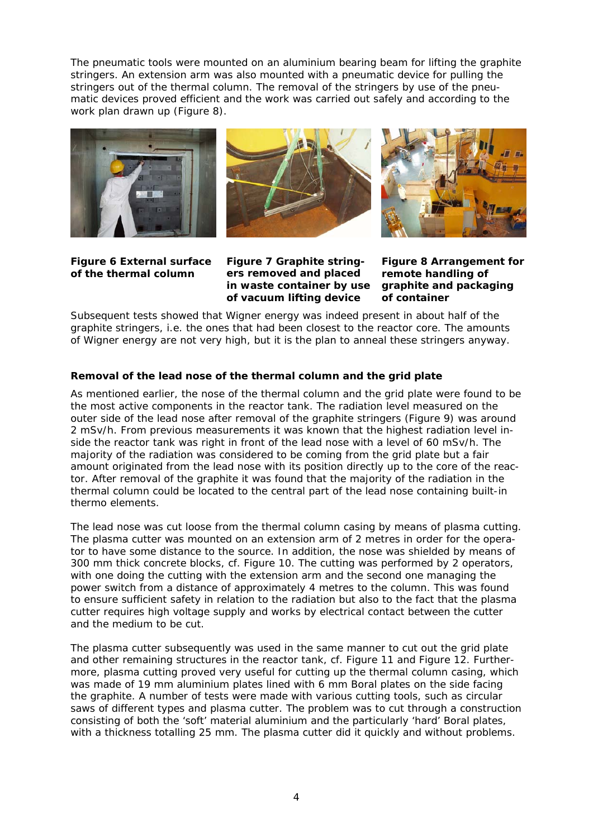The pneumatic tools were mounted on an aluminium bearing beam for lifting the graphite stringers. An extension arm was also mounted with a pneumatic device for pulling the stringers out of the thermal column. The removal of the stringers by use of the pneumatic devices proved efficient and the work was carried out safely and according to the work plan drawn up ([Figure 8\)](#page-3-0).







<span id="page-3-1"></span><span id="page-3-0"></span>**Figure 6 External surface of the thermal column** 

**Figure 7 Graphite stringers removed and placed in waste container by use of vacuum lifting device** 

**Figure 8 Arrangement for remote handling of graphite and packaging of container** 

Subsequent tests showed that Wigner energy was indeed present in about half of the graphite stringers, i.e. the ones that had been closest to the reactor core. The amounts of Wigner energy are not very high, but it is the plan to anneal these stringers anyway.

#### **Removal of the lead nose of the thermal column and the grid plate**

As mentioned earlier, the nose of the thermal column and the grid plate were found to be the most active components in the reactor tank. The radiation level measured on the outer side of the lead nose after removal of the graphite stringers [\(Figure 9\)](#page-4-0) was around 2 mSv/h. From previous measurements it was known that the highest radiation level inside the reactor tank was right in front of the lead nose with a level of 60 mSv/h. The majority of the radiation was considered to be coming from the grid plate but a fair amount originated from the lead nose with its position directly up to the core of the reactor. After removal of the graphite it was found that the majority of the radiation in the thermal column could be located to the central part of the lead nose containing built-in thermo elements.

The lead nose was cut loose from the thermal column casing by means of plasma cutting. The plasma cutter was mounted on an extension arm of 2 metres in order for the operator to have some distance to the source. In addition, the nose was shielded by means of 300 mm thick concrete blocks, cf. [Figure 10.](#page-4-0) The cutting was performed by 2 operators, with one doing the cutting with the extension arm and the second one managing the power switch from a distance of approximately 4 metres to the column. This was found to ensure sufficient safety in relation to the radiation but also to the fact that the plasma cutter requires high voltage supply and works by electrical contact between the cutter and the medium to be cut.

The plasma cutter subsequently was used in the same manner to cut out the grid plate and other remaining structures in the reactor tank, cf. [Figure 11](#page-4-1) and [Figure 12.](#page-4-1) Furthermore, plasma cutting proved very useful for cutting up the thermal column casing, which was made of 19 mm aluminium plates lined with 6 mm Boral plates on the side facing the graphite. A number of tests were made with various cutting tools, such as circular saws of different types and plasma cutter. The problem was to cut through a construction consisting of both the 'soft' material aluminium and the particularly 'hard' Boral plates, with a thickness totalling 25 mm. The plasma cutter did it quickly and without problems.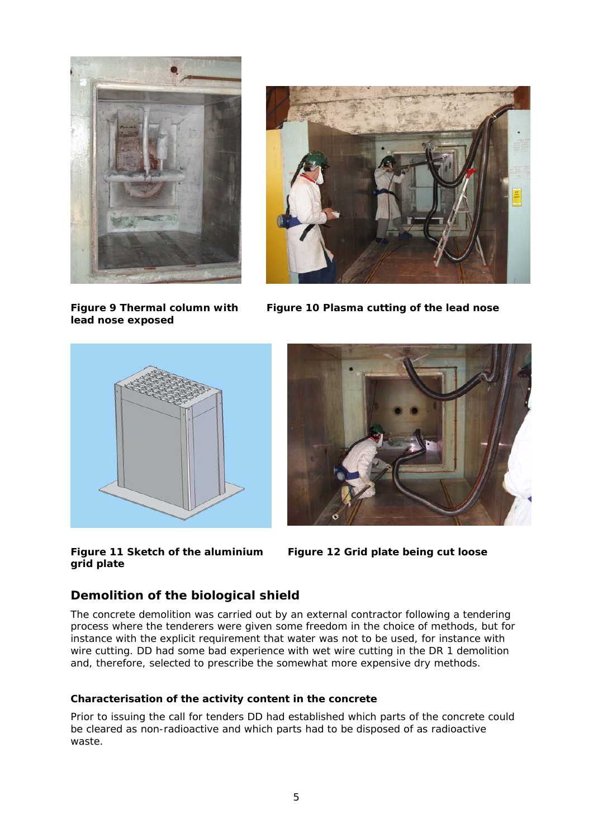

**Figure 9 Thermal column with lead nose exposed** 



**Figure 10 Plasma cutting of the lead nose** 

<span id="page-4-0"></span>



**Figure 11 Sketch of the aluminium grid plate** 

**Figure 12 Grid plate being cut loose** 

## <span id="page-4-1"></span>**Demolition of the biological shield**

The concrete demolition was carried out by an external contractor following a tendering process where the tenderers were given some freedom in the choice of methods, but for instance with the explicit requirement that water was not to be used, for instance with wire cutting. DD had some bad experience with wet wire cutting in the DR 1 demolition and, therefore, selected to prescribe the somewhat more expensive dry methods.

#### **Characterisation of the activity content in the concrete**

Prior to issuing the call for tenders DD had established which parts of the concrete could be cleared as non-radioactive and which parts had to be disposed of as radioactive waste.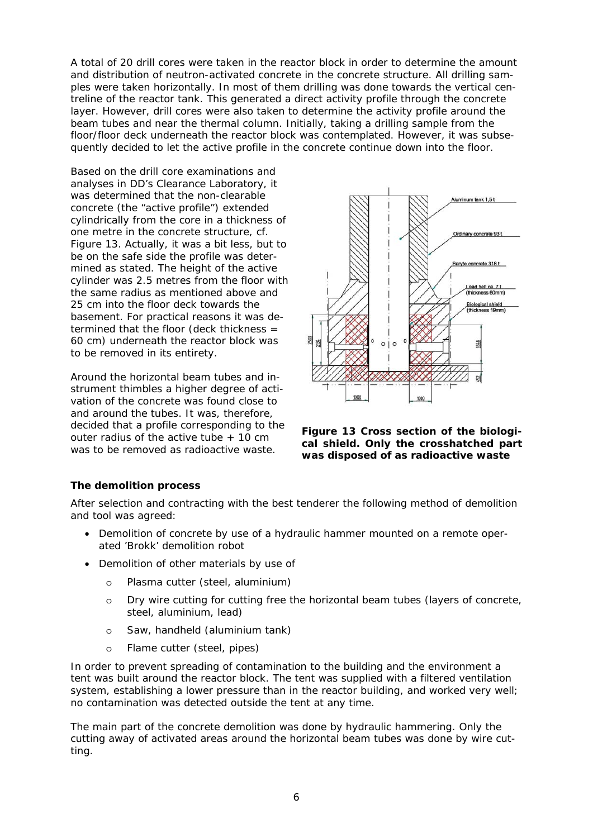A total of 20 drill cores were taken in the reactor block in order to determine the amount and distribution of neutron-activated concrete in the concrete structure. All drilling samples were taken horizontally. In most of them drilling was done towards the vertical centreline of the reactor tank. This generated a direct activity profile through the concrete layer. However, drill cores were also taken to determine the activity profile around the beam tubes and near the thermal column. Initially, taking a drilling sample from the floor/floor deck underneath the reactor block was contemplated. However, it was subsequently decided to let the active profile in the concrete continue down into the floor.

Based on the drill core examinations and analyses in DD's Clearance Laboratory, it was determined that the non-clearable concrete (the "active profile") extended cylindrically from the core in a thickness of one metre in the concrete structure, cf. [Figure 13](#page-5-0). Actually, it was a bit less, but to be on the safe side the profile was determined as stated. The height of the active cylinder was 2.5 metres from the floor with the same radius as mentioned above and 25 cm into the floor deck towards the basement. For practical reasons it was determined that the floor (deck thickness = 60 cm) underneath the reactor block was to be removed in its entirety.

<span id="page-5-0"></span>Around the horizontal beam tubes and instrument thimbles a higher degree of activation of the concrete was found close to and around the tubes. It was, therefore, decided that a profile corresponding to the outer radius of the active tube + 10 cm was to be removed as radioactive waste.



**Figure 13 Cross section of the biological shield. Only the crosshatched part was disposed of as radioactive waste** 

#### **The demolition process**

After selection and contracting with the best tenderer the following method of demolition and tool was agreed:

- Demolition of concrete by use of a hydraulic hammer mounted on a remote operated 'Brokk' demolition robot
- Demolition of other materials by use of
	- o Plasma cutter (steel, aluminium)
	- o Dry wire cutting for cutting free the horizontal beam tubes (layers of concrete, steel, aluminium, lead)
	- o Saw, handheld (aluminium tank)
	- o Flame cutter (steel, pipes)

In order to prevent spreading of contamination to the building and the environment a tent was built around the reactor block. The tent was supplied with a filtered ventilation system, establishing a lower pressure than in the reactor building, and worked very well; no contamination was detected outside the tent at any time.

The main part of the concrete demolition was done by hydraulic hammering. Only the cutting away of activated areas around the horizontal beam tubes was done by wire cutting.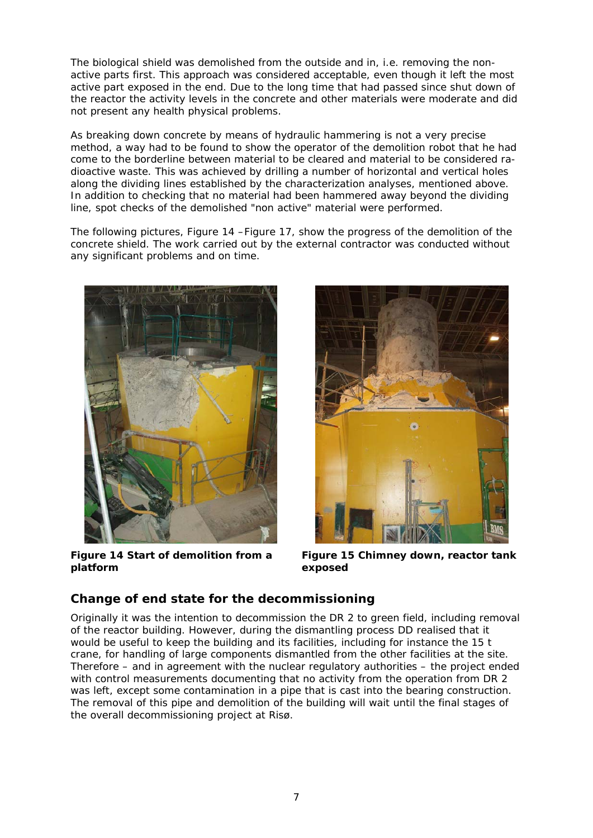The biological shield was demolished from the outside and in, i.e. removing the nonactive parts first. This approach was considered acceptable, even though it left the most active part exposed in the end. Due to the long time that had passed since shut down of the reactor the activity levels in the concrete and other materials were moderate and did not present any health physical problems.

As breaking down concrete by means of hydraulic hammering is not a very precise method, a way had to be found to show the operator of the demolition robot that he had come to the borderline between material to be cleared and material to be considered radioactive waste. This was achieved by drilling a number of horizontal and vertical holes along the dividing lines established by the characterization analyses, mentioned above. In addition to checking that no material had been hammered away beyond the dividing line, spot checks of the demolished "non active" material were performed.

The following pictures, [Figure 14](#page-6-0) [–Figure 17,](#page-7-3) show the progress of the demolition of the concrete shield. The work carried out by the external contractor was conducted without any significant problems and on time.



**Figure 14 Start of demolition from a platform** 



**Figure 15 Chimney down, reactor tank exposed** 

### <span id="page-6-0"></span>**Change of end state for the decommissioning**

Originally it was the intention to decommission the DR 2 to green field, including removal of the reactor building. However, during the dismantling process DD realised that it would be useful to keep the building and its facilities, including for instance the 15 t crane, for handling of large components dismantled from the other facilities at the site. Therefore – and in agreement with the nuclear regulatory authorities – the project ended with control measurements documenting that no activity from the operation from DR 2 was left, except some contamination in a pipe that is cast into the bearing construction. The removal of this pipe and demolition of the building will wait until the final stages of the overall decommissioning project at Risø.